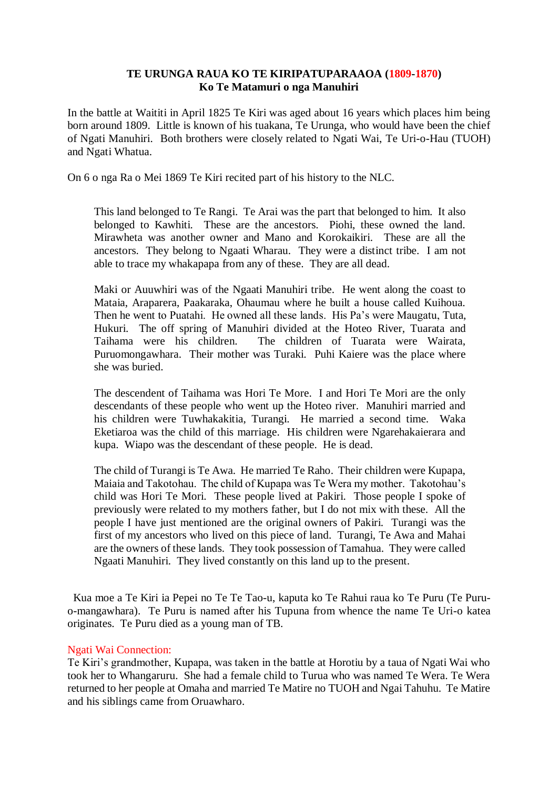## **TE URUNGA RAUA KO TE KIRIPATUPARAAOA (1809-1870) Ko Te Matamuri o nga Manuhiri**

In the battle at Waititi in April 1825 Te Kiri was aged about 16 years which places him being born around 1809. Little is known of his tuakana, Te Urunga, who would have been the chief of Ngati Manuhiri. Both brothers were closely related to Ngati Wai, Te Uri-o-Hau (TUOH) and Ngati Whatua.

On 6 o nga Ra o Mei 1869 Te Kiri recited part of his history to the NLC.

This land belonged to Te Rangi. Te Arai was the part that belonged to him. It also belonged to Kawhiti. These are the ancestors. Piohi, these owned the land. Mirawheta was another owner and Mano and Korokaikiri. These are all the ancestors. They belong to Ngaati Wharau. They were a distinct tribe. I am not able to trace my whakapapa from any of these. They are all dead.

Maki or Auuwhiri was of the Ngaati Manuhiri tribe. He went along the coast to Mataia, Araparera, Paakaraka, Ohaumau where he built a house called Kuihoua. Then he went to Puatahi. He owned all these lands. His Pa's were Maugatu, Tuta, Hukuri. The off spring of Manuhiri divided at the Hoteo River, Tuarata and Taihama were his children. The children of Tuarata were Wairata, Puruomongawhara. Their mother was Turaki. Puhi Kaiere was the place where she was buried.

The descendent of Taihama was Hori Te More. I and Hori Te Mori are the only descendants of these people who went up the Hoteo river. Manuhiri married and his children were Tuwhakakitia, Turangi. He married a second time. Waka Eketiaroa was the child of this marriage. His children were Ngarehakaierara and kupa. Wiapo was the descendant of these people. He is dead.

The child of Turangi is Te Awa. He married Te Raho. Their children were Kupapa, Maiaia and Takotohau. The child of Kupapa was Te Wera my mother. Takotohau's child was Hori Te Mori. These people lived at Pakiri. Those people I spoke of previously were related to my mothers father, but I do not mix with these. All the people I have just mentioned are the original owners of Pakiri. Turangi was the first of my ancestors who lived on this piece of land. Turangi, Te Awa and Mahai are the owners of these lands. They took possession of Tamahua. They were called Ngaati Manuhiri. They lived constantly on this land up to the present.

 Kua moe a Te Kiri ia Pepei no Te Te Tao-u, kaputa ko Te Rahui raua ko Te Puru (Te Puruo-mangawhara). Te Puru is named after his Tupuna from whence the name Te Uri-o katea originates. Te Puru died as a young man of TB.

## Ngati Wai Connection:

Te Kiri's grandmother, Kupapa, was taken in the battle at Horotiu by a taua of Ngati Wai who took her to Whangaruru. She had a female child to Turua who was named Te Wera. Te Wera returned to her people at Omaha and married Te Matire no TUOH and Ngai Tahuhu. Te Matire and his siblings came from Oruawharo.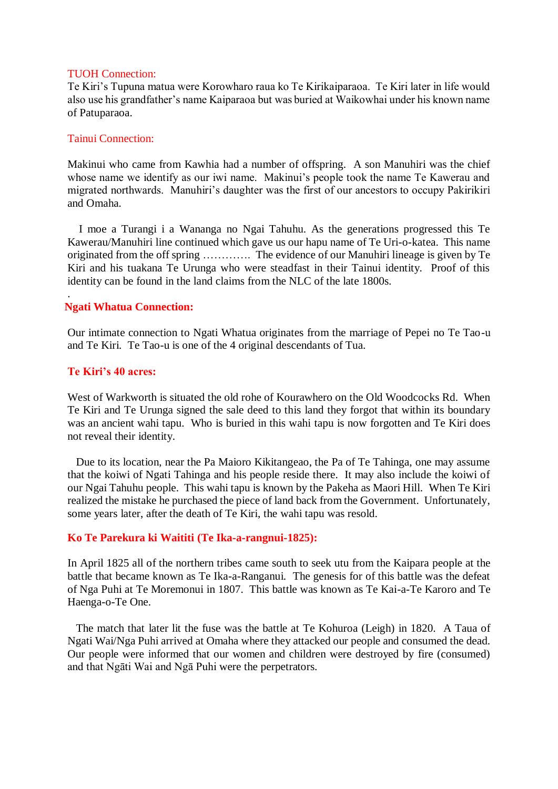#### TUOH Connection:

Te Kiri's Tupuna matua were Korowharo raua ko Te Kirikaiparaoa. Te Kiri later in life would also use his grandfather's name Kaiparaoa but was buried at Waikowhai under his known name of Patuparaoa.

#### Tainui Connection:

Makinui who came from Kawhia had a number of offspring. A son Manuhiri was the chief whose name we identify as our iwi name. Makinui's people took the name Te Kawerau and migrated northwards. Manuhiri's daughter was the first of our ancestors to occupy Pakirikiri and Omaha.

 I moe a Turangi i a Wananga no Ngai Tahuhu. As the generations progressed this Te Kawerau/Manuhiri line continued which gave us our hapu name of Te Uri-o-katea. This name originated from the off spring …………. The evidence of our Manuhiri lineage is given by Te Kiri and his tuakana Te Urunga who were steadfast in their Tainui identity. Proof of this identity can be found in the land claims from the NLC of the late 1800s.

## **Ngati Whatua Connection:**

Our intimate connection to Ngati Whatua originates from the marriage of Pepei no Te Tao-u and Te Kiri. Te Tao-u is one of the 4 original descendants of Tua.

## **Te Kiri's 40 acres:**

.

West of Warkworth is situated the old rohe of Kourawhero on the Old Woodcocks Rd. When Te Kiri and Te Urunga signed the sale deed to this land they forgot that within its boundary was an ancient wahi tapu. Who is buried in this wahi tapu is now forgotten and Te Kiri does not reveal their identity.

 Due to its location, near the Pa Maioro Kikitangeao, the Pa of Te Tahinga, one may assume that the koiwi of Ngati Tahinga and his people reside there. It may also include the koiwi of our Ngai Tahuhu people. This wahi tapu is known by the Pakeha as Maori Hill. When Te Kiri realized the mistake he purchased the piece of land back from the Government. Unfortunately, some years later, after the death of Te Kiri, the wahi tapu was resold.

## **Ko Te Parekura ki Waititi (Te Ika-a-rangnui-1825):**

In April 1825 all of the northern tribes came south to seek utu from the Kaipara people at the battle that became known as Te Ika-a-Ranganui. The genesis for of this battle was the defeat of Nga Puhi at Te Moremonui in 1807. This battle was known as Te Kai-a-Te Karoro and Te Haenga-o-Te One.

 The match that later lit the fuse was the battle at Te Kohuroa (Leigh) in 1820. A Taua of Ngati Wai/Nga Puhi arrived at Omaha where they attacked our people and consumed the dead. Our people were informed that our women and children were destroyed by fire (consumed) and that Ngāti Wai and Ngā Puhi were the perpetrators.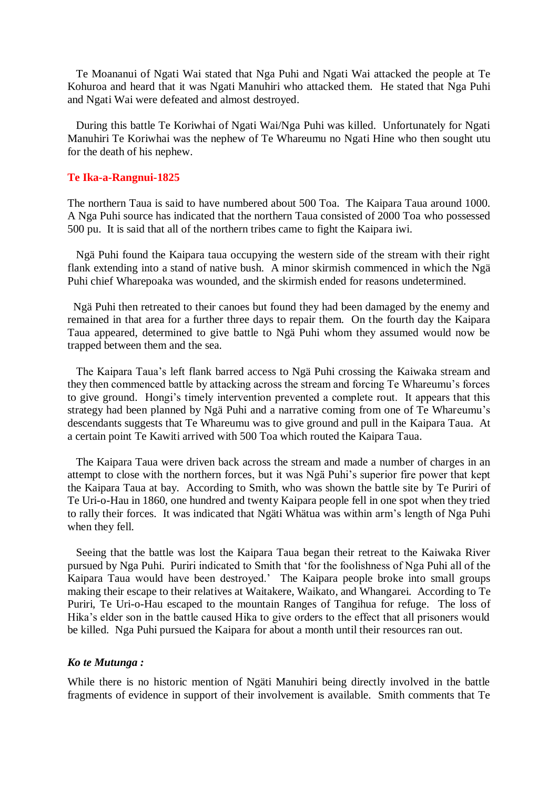Te Moananui of Ngati Wai stated that Nga Puhi and Ngati Wai attacked the people at Te Kohuroa and heard that it was Ngati Manuhiri who attacked them. He stated that Nga Puhi and Ngati Wai were defeated and almost destroyed.

 During this battle Te Koriwhai of Ngati Wai/Nga Puhi was killed. Unfortunately for Ngati Manuhiri Te Koriwhai was the nephew of Te Whareumu no Ngati Hine who then sought utu for the death of his nephew.

#### **Te Ika-a-Rangnui-1825**

The northern Taua is said to have numbered about 500 Toa. The Kaipara Taua around 1000. A Nga Puhi source has indicated that the northern Taua consisted of 2000 Toa who possessed 500 pu. It is said that all of the northern tribes came to fight the Kaipara iwi.

 Ngä Puhi found the Kaipara taua occupying the western side of the stream with their right flank extending into a stand of native bush. A minor skirmish commenced in which the Ngä Puhi chief Wharepoaka was wounded, and the skirmish ended for reasons undetermined.

 Ngä Puhi then retreated to their canoes but found they had been damaged by the enemy and remained in that area for a further three days to repair them. On the fourth day the Kaipara Taua appeared, determined to give battle to Ngä Puhi whom they assumed would now be trapped between them and the sea.

 The Kaipara Taua's left flank barred access to Ngä Puhi crossing the Kaiwaka stream and they then commenced battle by attacking across the stream and forcing Te Whareumu's forces to give ground. Hongi's timely intervention prevented a complete rout. It appears that this strategy had been planned by Ngä Puhi and a narrative coming from one of Te Whareumu's descendants suggests that Te Whareumu was to give ground and pull in the Kaipara Taua. At a certain point Te Kawiti arrived with 500 Toa which routed the Kaipara Taua.

 The Kaipara Taua were driven back across the stream and made a number of charges in an attempt to close with the northern forces, but it was Ngä Puhi's superior fire power that kept the Kaipara Taua at bay. According to Smith, who was shown the battle site by Te Puriri of Te Uri-o-Hau in 1860, one hundred and twenty Kaipara people fell in one spot when they tried to rally their forces. It was indicated that Ngäti Whätua was within arm's length of Nga Puhi when they fell.

 Seeing that the battle was lost the Kaipara Taua began their retreat to the Kaiwaka River pursued by Nga Puhi. Puriri indicated to Smith that 'for the foolishness of Nga Puhi all of the Kaipara Taua would have been destroyed.' The Kaipara people broke into small groups making their escape to their relatives at Waitakere, Waikato, and Whangarei. According to Te Puriri, Te Uri-o-Hau escaped to the mountain Ranges of Tangihua for refuge. The loss of Hika's elder son in the battle caused Hika to give orders to the effect that all prisoners would be killed. Nga Puhi pursued the Kaipara for about a month until their resources ran out.

#### *Ko te Mutunga :*

While there is no historic mention of Ngäti Manuhiri being directly involved in the battle fragments of evidence in support of their involvement is available. Smith comments that Te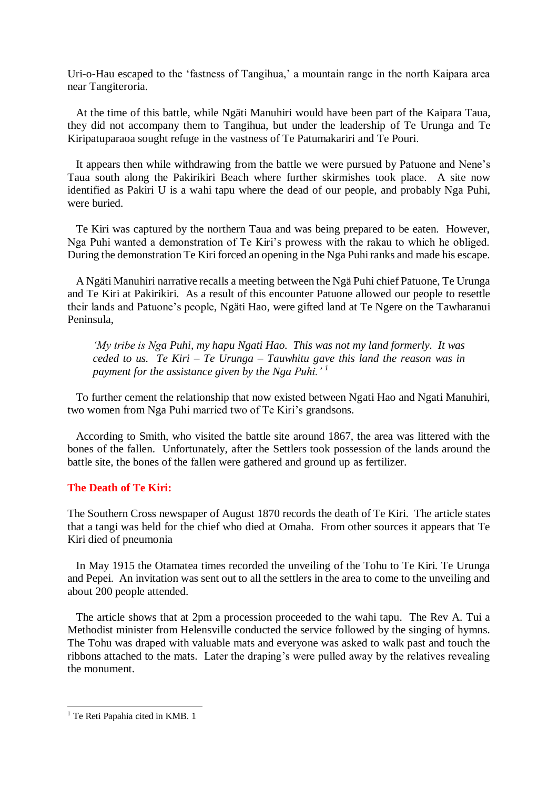Uri-o-Hau escaped to the 'fastness of Tangihua,' a mountain range in the north Kaipara area near Tangiteroria.

 At the time of this battle, while Ngäti Manuhiri would have been part of the Kaipara Taua, they did not accompany them to Tangihua, but under the leadership of Te Urunga and Te Kiripatuparaoa sought refuge in the vastness of Te Patumakariri and Te Pouri.

 It appears then while withdrawing from the battle we were pursued by Patuone and Nene's Taua south along the Pakirikiri Beach where further skirmishes took place. A site now identified as Pakiri U is a wahi tapu where the dead of our people, and probably Nga Puhi, were buried.

 Te Kiri was captured by the northern Taua and was being prepared to be eaten. However, Nga Puhi wanted a demonstration of Te Kiri's prowess with the rakau to which he obliged. During the demonstration Te Kiri forced an opening in the Nga Puhi ranks and made his escape.

 A Ngäti Manuhiri narrative recalls a meeting between the Ngä Puhi chief Patuone, Te Urunga and Te Kiri at Pakirikiri. As a result of this encounter Patuone allowed our people to resettle their lands and Patuone's people, Ngäti Hao, were gifted land at Te Ngere on the Tawharanui Peninsula,

*'My tribe is Nga Puhi, my hapu Ngati Hao. This was not my land formerly. It was ceded to us. Te Kiri – Te Urunga – Tauwhitu gave this land the reason was in payment for the assistance given by the Nga Puhi.' <sup>1</sup>*

 To further cement the relationship that now existed between Ngati Hao and Ngati Manuhiri, two women from Nga Puhi married two of Te Kiri's grandsons.

 According to Smith, who visited the battle site around 1867, the area was littered with the bones of the fallen. Unfortunately, after the Settlers took possession of the lands around the battle site, the bones of the fallen were gathered and ground up as fertilizer.

## **The Death of Te Kiri:**

The Southern Cross newspaper of August 1870 records the death of Te Kiri. The article states that a tangi was held for the chief who died at Omaha. From other sources it appears that Te Kiri died of pneumonia

 In May 1915 the Otamatea times recorded the unveiling of the Tohu to Te Kiri. Te Urunga and Pepei. An invitation was sent out to all the settlers in the area to come to the unveiling and about 200 people attended.

 The article shows that at 2pm a procession proceeded to the wahi tapu. The Rev A. Tui a Methodist minister from Helensville conducted the service followed by the singing of hymns. The Tohu was draped with valuable mats and everyone was asked to walk past and touch the ribbons attached to the mats. Later the draping's were pulled away by the relatives revealing the monument.

1

<sup>&</sup>lt;sup>1</sup> Te Reti Papahia cited in KMB. 1